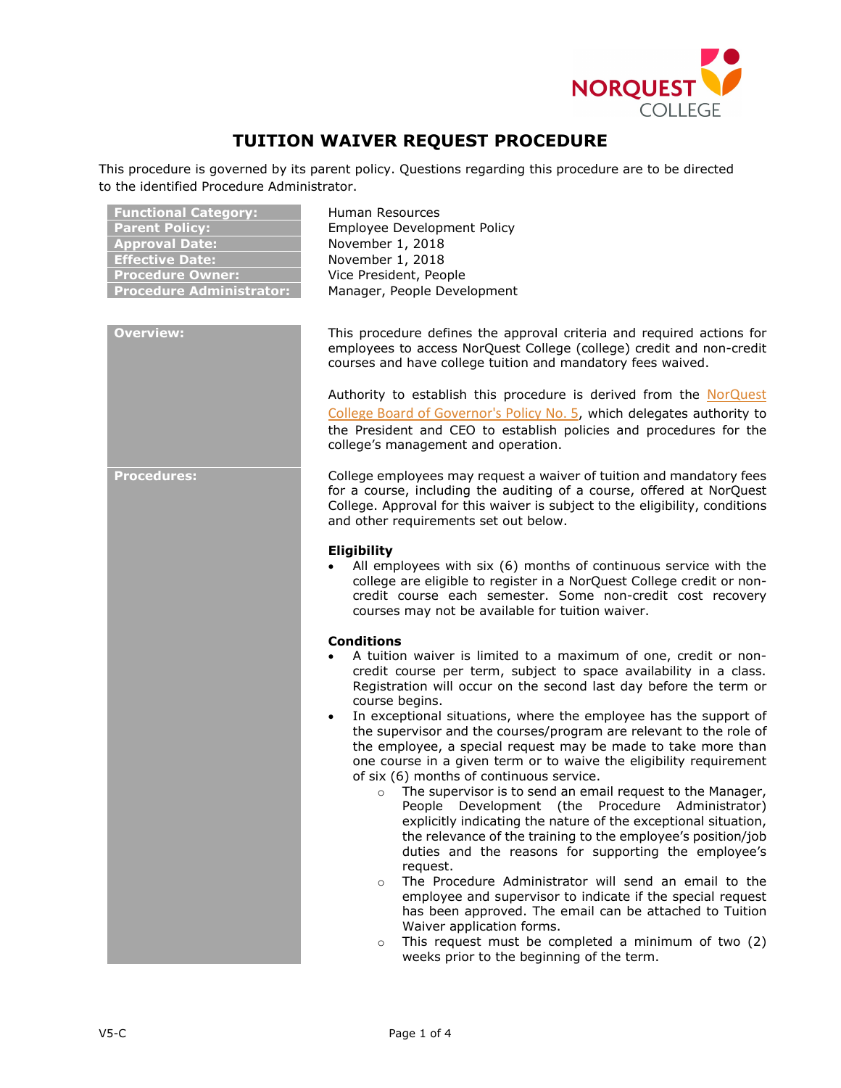

# **TUITION WAIVER REQUEST PROCEDURE**

This procedure is governed by its parent policy. Questions regarding this procedure are to be directed to the identified Procedure Administrator.

| <u>Funct</u> ional Category:<br><b>Parent Policy:</b><br><b>Approval Date:</b><br><b>Effective Date:</b><br><b>Procedure Owner:</b><br><b>Procedure Administrator:</b> | Human Resources<br>Employee Development Policy<br>November 1, 2018<br>November 1, 2018<br>Vice President, People<br>Manager, People Development                                                                                                                                                                                                                                                                                                                                                                                                                                                                                                                                                                                                                                                                                                                                                                                                                                                                                                                                                                                                                                                                                                                        |
|------------------------------------------------------------------------------------------------------------------------------------------------------------------------|------------------------------------------------------------------------------------------------------------------------------------------------------------------------------------------------------------------------------------------------------------------------------------------------------------------------------------------------------------------------------------------------------------------------------------------------------------------------------------------------------------------------------------------------------------------------------------------------------------------------------------------------------------------------------------------------------------------------------------------------------------------------------------------------------------------------------------------------------------------------------------------------------------------------------------------------------------------------------------------------------------------------------------------------------------------------------------------------------------------------------------------------------------------------------------------------------------------------------------------------------------------------|
| <b>Overview:</b>                                                                                                                                                       | This procedure defines the approval criteria and required actions for<br>employees to access NorQuest College (college) credit and non-credit<br>courses and have college tuition and mandatory fees waived.<br>Authority to establish this procedure is derived from the NorQuest<br>College Board of Governor's Policy No. 5, which delegates authority to<br>the President and CEO to establish policies and procedures for the<br>college's management and operation.                                                                                                                                                                                                                                                                                                                                                                                                                                                                                                                                                                                                                                                                                                                                                                                              |
| <b>Procedures:</b>                                                                                                                                                     | College employees may request a waiver of tuition and mandatory fees<br>for a course, including the auditing of a course, offered at NorQuest<br>College. Approval for this waiver is subject to the eligibility, conditions<br>and other requirements set out below.<br>Eligibility<br>All employees with six (6) months of continuous service with the<br>college are eligible to register in a NorQuest College credit or non-<br>credit course each semester. Some non-credit cost recovery<br>courses may not be available for tuition waiver.                                                                                                                                                                                                                                                                                                                                                                                                                                                                                                                                                                                                                                                                                                                    |
|                                                                                                                                                                        | <b>Conditions</b><br>A tuition waiver is limited to a maximum of one, credit or non-<br>credit course per term, subject to space availability in a class.<br>Registration will occur on the second last day before the term or<br>course begins.<br>In exceptional situations, where the employee has the support of<br>$\bullet$<br>the supervisor and the courses/program are relevant to the role of<br>the employee, a special request may be made to take more than<br>one course in a given term or to waive the eligibility requirement<br>of six (6) months of continuous service.<br>The supervisor is to send an email request to the Manager,<br>$\circ$<br>People Development (the Procedure Administrator)<br>explicitly indicating the nature of the exceptional situation,<br>the relevance of the training to the employee's position/job<br>duties and the reasons for supporting the employee's<br>request.<br>The Procedure Administrator will send an email to the<br>$\circ$<br>employee and supervisor to indicate if the special request<br>has been approved. The email can be attached to Tuition<br>Waiver application forms.<br>This request must be completed a minimum of two (2)<br>$\circ$<br>weeks prior to the beginning of the term. |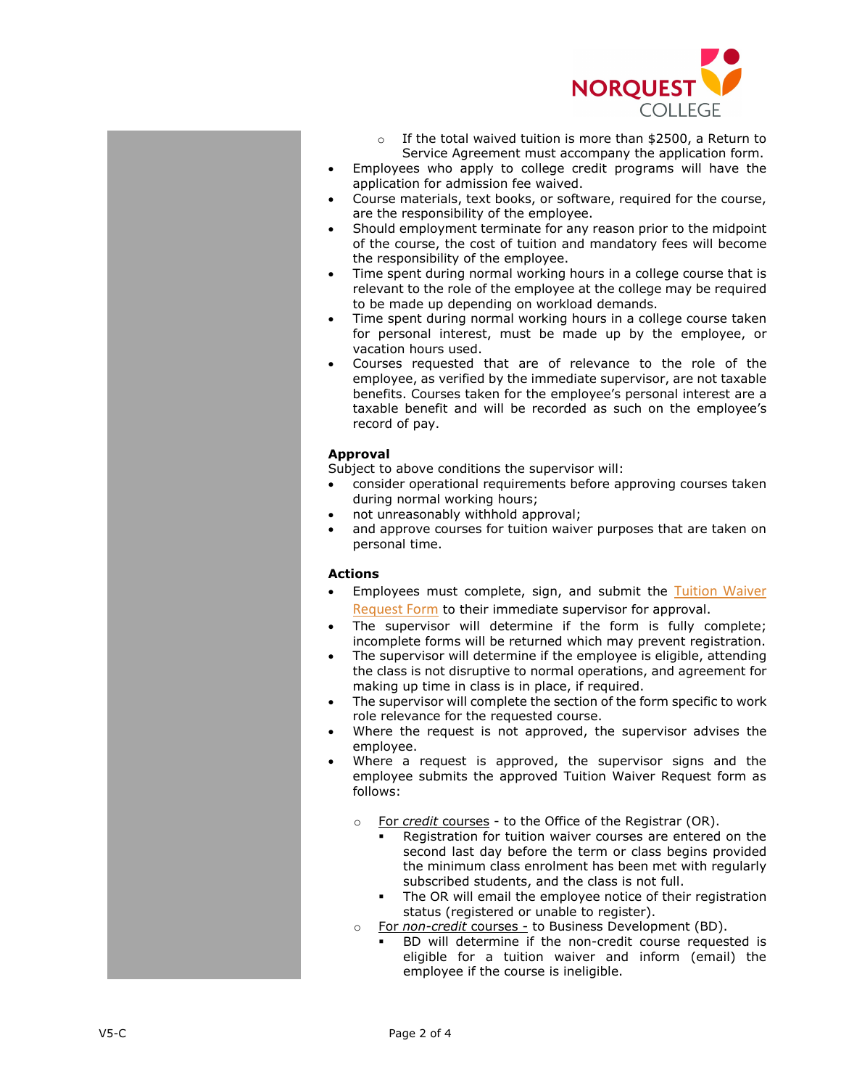

- o If the total waived tuition is more than \$2500, a Return to Service Agreement must accompany the application form.
- Employees who apply to college credit programs will have the application for admission fee waived.
- Course materials, text books, or software, required for the course, are the responsibility of the employee.
- Should employment terminate for any reason prior to the midpoint of the course, the cost of tuition and mandatory fees will become the responsibility of the employee.
- Time spent during normal working hours in a college course that is relevant to the role of the employee at the college may be required to be made up depending on workload demands.
- Time spent during normal working hours in a college course taken for personal interest, must be made up by the employee, or vacation hours used.
- Courses requested that are of relevance to the role of the employee , as verified by the immediate supervisor, are not taxable benefits. Courses taken for the employee's personal interest are a taxable benefit and will be recorded as such on the employee's record of pay.

## **Approval**

Subject to above conditions the supervisor will:

- consider operational requirements before approving courses taken during normal working hours;
- not unreasonably withhold approval;
- and approve courses for tuition waiver purposes that are taken on personal time.

# **Actions**

- Employees must complete, sign, and submit the Tuition Waiver [Request Form](https://theq.norquest.ca/Departments/WDHR/Public-Documents/Forms/Tuition-Waiver-Request-Form.aspx) to their immediate supervisor for approval.
- The supervisor will determine if the form is fully complete; incomplete forms will be returned which may prevent registration.
- The supervisor will determine if the employee is eligible, attending the class is not disruptive to normal operations, and agreement for making up time in class is in place, if required .
- The supervisor will complete the section of the form specific to work role relevance for the requested course.
- Where the request is not approved, the supervisor advises the employee.
- Where a request is approved, the supervisor signs and the employee submit s the approved Tuition Waiver Request form as follows:
	- o For *credit courses* to the Office of the Registrar (OR).
		- Registration for tuition waiver courses are entered on the second last day before the term or class begins provided the minimum class enrolment has been met with regularly subscribed students, and the class is not full .
		- The OR will email the employee notice of their registration status (registered or unable to register).
	- o For *non -credit* courses to Business Development (BD).
		- BD will determine if the non -credit course requested is eligible for a tuition waiver and inform (email) the employee if the course is ineligible.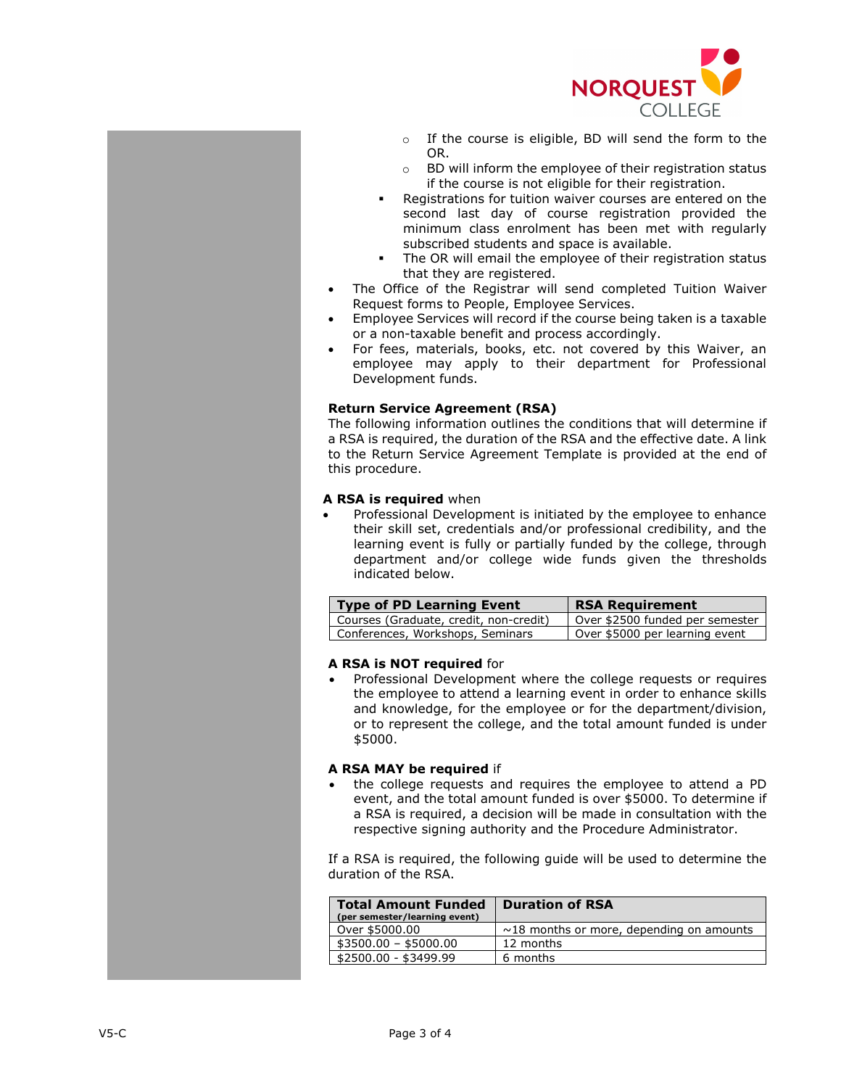

- o If the course is eligible, BD will send the form to the OR.
- o BD will inform the employee of their registration status if the course is not eligible for their registration.
- Registrations for tuition waiver courses are entered on the second last day of course registration provided the minimum class enrolment has been met with regularly subscribed students and space is available.
- The OR will email the employee of their registration status that they are registered.
- The Office of the Registrar will send completed Tuition Waiver Request forms to People, Employee Services.
- Employee Services will record if the course being taken is a taxable or a non-taxable benefit and process accordingly.
- For fees, materials, books, etc. not covered by this Waiver, an employee may apply to their department for Professional Development funds.

## **Return Service Agreement (RSA)**

The following information outlines the conditions that will determine if a RSA is required, the duration of the RSA and the effective date. A link to the Return Service Agreement Template is provided at the end of this procedure.

#### **A RSA is required** when

• Professional Development is initiated by the employee to enhance their skill set, credentials and/or professional credibility, and the learning event is fully or partially funded by the college, through department and/or college wide funds given the thresholds indicated below.

| Type of PD Learning Event              | <b>RSA Requirement</b>          |
|----------------------------------------|---------------------------------|
| Courses (Graduate, credit, non-credit) | Over \$2500 funded per semester |
| Conferences, Workshops, Seminars       | Over \$5000 per learning event  |

#### **A RSA is NOT required** for

• Professional Development where the college requests or requires the employee to attend a learning event in order to enhance skills and knowledge, for the employee or for the department/division, or to represent the college, and the total amount funded is under \$5000.

## **A RSA MAY be required** if

• the college requests and requires the employee to attend a PD event, and the total amount funded is over \$5000. To determine if a RSA is required, a decision will be made in consultation with the respective signing authority and the Procedure Administrator.

If a RSA is required, the following guide will be used to determine the duration of the RSA.

| <b>Total Amount Funded</b><br>(per semester/learning event) | <b>Duration of RSA</b>                         |
|-------------------------------------------------------------|------------------------------------------------|
| Over \$5000.00                                              | $\sim$ 18 months or more, depending on amounts |
| \$3500.00 - \$5000.00                                       | 12 months                                      |
| \$2500.00 - \$3499.99                                       | 6 months                                       |